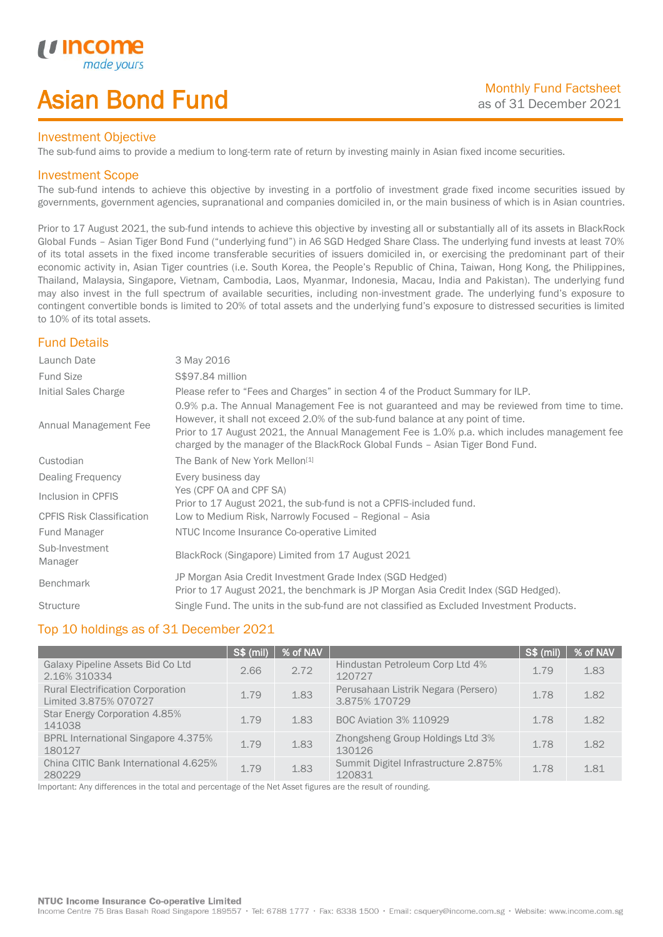# Asian Bond Fund

### Investment Objective

The sub-fund aims to provide a medium to long-term rate of return by investing mainly in Asian fixed income securities.

### Investment Scope

*i i* Incol

I

The sub-fund intends to achieve this objective by investing in a portfolio of investment grade fixed income securities issued by governments, government agencies, supranational and companies domiciled in, or the main business of which is in Asian countries.

Prior to 17 August 2021, the sub-fund intends to achieve this objective by investing all or substantially all of its assets in BlackRock Global Funds – Asian Tiger Bond Fund ("underlying fund") in A6 SGD Hedged Share Class. The underlying fund invests at least 70% of its total assets in the fixed income transferable securities of issuers domiciled in, or exercising the predominant part of their economic activity in, Asian Tiger countries (i.e. South Korea, the People's Republic of China, Taiwan, Hong Kong, the Philippines, Thailand, Malaysia, Singapore, Vietnam, Cambodia, Laos, Myanmar, Indonesia, Macau, India and Pakistan). The underlying fund may also invest in the full spectrum of available securities, including non-investment grade. The underlying fund's exposure to contingent convertible bonds is limited to 20% of total assets and the underlying fund's exposure to distressed securities is limited to 10% of its total assets.

## Fund Details

| Launch Date                      | 3 May 2016                                                                                                                                                                                                                                                                                                                                                        |
|----------------------------------|-------------------------------------------------------------------------------------------------------------------------------------------------------------------------------------------------------------------------------------------------------------------------------------------------------------------------------------------------------------------|
| <b>Fund Size</b>                 | \$\$97.84 million                                                                                                                                                                                                                                                                                                                                                 |
| Initial Sales Charge             | Please refer to "Fees and Charges" in section 4 of the Product Summary for ILP.                                                                                                                                                                                                                                                                                   |
| Annual Management Fee            | 0.9% p.a. The Annual Management Fee is not guaranteed and may be reviewed from time to time.<br>However, it shall not exceed 2.0% of the sub-fund balance at any point of time.<br>Prior to 17 August 2021, the Annual Management Fee is 1.0% p.a. which includes management fee<br>charged by the manager of the BlackRock Global Funds - Asian Tiger Bond Fund. |
| Custodian                        | The Bank of New York Mellon <sup>[1]</sup>                                                                                                                                                                                                                                                                                                                        |
| Dealing Frequency                | Every business day                                                                                                                                                                                                                                                                                                                                                |
| Inclusion in CPFIS               | Yes (CPF OA and CPF SA)<br>Prior to 17 August 2021, the sub-fund is not a CPFIS-included fund.                                                                                                                                                                                                                                                                    |
| <b>CPFIS Risk Classification</b> | Low to Medium Risk, Narrowly Focused - Regional - Asia                                                                                                                                                                                                                                                                                                            |
| Fund Manager                     | NTUC Income Insurance Co-operative Limited                                                                                                                                                                                                                                                                                                                        |
| Sub-Investment<br>Manager        | BlackRock (Singapore) Limited from 17 August 2021                                                                                                                                                                                                                                                                                                                 |
| <b>Benchmark</b>                 | JP Morgan Asia Credit Investment Grade Index (SGD Hedged)<br>Prior to 17 August 2021, the benchmark is JP Morgan Asia Credit Index (SGD Hedged).                                                                                                                                                                                                                  |
| <b>Structure</b>                 | Single Fund. The units in the sub-fund are not classified as Excluded Investment Products.                                                                                                                                                                                                                                                                        |

## Top 10 holdings as of 31 December 2021

|                                                                   | <b>S\$ (mil)</b> | % of NAV |                                                      | $\sqrt{\text{S}}$ (mil) | │ % of NAV |
|-------------------------------------------------------------------|------------------|----------|------------------------------------------------------|-------------------------|------------|
| Galaxy Pipeline Assets Bid Co Ltd<br>2.16% 310334                 | 2.66             | 2.72     | Hindustan Petroleum Corp Ltd 4%<br>120727            | 1.79                    | 1.83       |
| <b>Rural Electrification Corporation</b><br>Limited 3.875% 070727 | 1.79             | 1.83     | Perusahaan Listrik Negara (Persero)<br>3.875% 170729 | 1.78                    | 1.82       |
| Star Energy Corporation 4.85%<br>141038                           | 1.79             | 1.83     | <b>BOC Aviation 3% 110929</b>                        | 1.78                    | 1.82       |
| <b>BPRL International Singapore 4.375%</b><br>180127              | 1.79             | 1.83     | Zhongsheng Group Holdings Ltd 3%<br>130126           | 1.78                    | 1.82       |
| China CITIC Bank International 4.625%<br>280229                   | 1.79             | 1.83     | Summit Digitel Infrastructure 2.875%<br>120831       | 1.78                    | 1.81       |

Important: Any differences in the total and percentage of the Net Asset figures are the result of rounding.